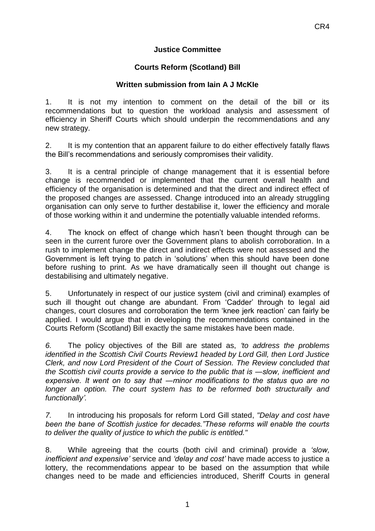## **Justice Committee**

## **Courts Reform (Scotland) Bill**

## **Written submission from Iain A J McKIe**

1. It is not my intention to comment on the detail of the bill or its recommendations but to question the workload analysis and assessment of efficiency in Sheriff Courts which should underpin the recommendations and any new strategy.

2. It is my contention that an apparent failure to do either effectively fatally flaws the Bill's recommendations and seriously compromises their validity.

3. It is a central principle of change management that it is essential before change is recommended or implemented that the current overall health and efficiency of the organisation is determined and that the direct and indirect effect of the proposed changes are assessed. Change introduced into an already struggling organisation can only serve to further destabilise it, lower the efficiency and morale of those working within it and undermine the potentially valuable intended reforms.

4. The knock on effect of change which hasn't been thought through can be seen in the current furore over the Government plans to abolish corroboration. In a rush to implement change the direct and indirect effects were not assessed and the Government is left trying to patch in 'solutions' when this should have been done before rushing to print. As we have dramatically seen ill thought out change is destabilising and ultimately negative.

5. Unfortunately in respect of our justice system (civil and criminal) examples of such ill thought out change are abundant. From 'Cadder' through to legal aid changes, court closures and corroboration the term 'knee jerk reaction' can fairly be applied. I would argue that in developing the recommendations contained in the Courts Reform (Scotland) Bill exactly the same mistakes have been made.

*6.* The policy objectives of the Bill are stated as, *'to address the problems identified in the Scottish Civil Courts Review1 headed by Lord Gill, then Lord Justice Clerk, and now Lord President of the Court of Session. The Review concluded that the Scottish civil courts provide a service to the public that is ―slow, inefficient and expensive. It went on to say that ―minor modifications to the status quo are no*  longer an option. The court system has to be reformed both structurally and *functionally'.* 

*7.* In introducing his proposals for reform Lord Gill stated, *"Delay and cost have been the bane of Scottish justice for decades."These reforms will enable the courts to deliver the quality of justice to which the public is entitled."*

8. While agreeing that the courts (both civil and criminal) provide a *'slow, inefficient and expensive'* service and *'delay and cost'* have made access to justice a lottery, the recommendations appear to be based on the assumption that while changes need to be made and efficiencies introduced, Sheriff Courts in general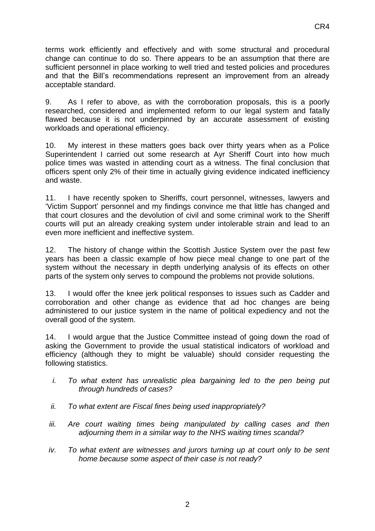9. As I refer to above, as with the corroboration proposals, this is a poorly researched, considered and implemented reform to our legal system and fatally flawed because it is not underpinned by an accurate assessment of existing workloads and operational efficiency.

10. My interest in these matters goes back over thirty years when as a Police Superintendent I carried out some research at Ayr Sheriff Court into how much police times was wasted in attending court as a witness. The final conclusion that officers spent only 2% of their time in actually giving evidence indicated inefficiency and waste.

11. I have recently spoken to Sheriffs, court personnel, witnesses, lawyers and 'Victim Support' personnel and my findings convince me that little has changed and that court closures and the devolution of civil and some criminal work to the Sheriff courts will put an already creaking system under intolerable strain and lead to an even more inefficient and ineffective system.

12. The history of change within the Scottish Justice System over the past few years has been a classic example of how piece meal change to one part of the system without the necessary in depth underlying analysis of its effects on other parts of the system only serves to compound the problems not provide solutions.

13. I would offer the knee jerk political responses to issues such as Cadder and corroboration and other change as evidence that ad hoc changes are being administered to our justice system in the name of political expediency and not the overall good of the system.

14. I would argue that the Justice Committee instead of going down the road of asking the Government to provide the usual statistical indicators of workload and efficiency (although they to might be valuable) should consider requesting the following statistics.

- *i. To what extent has unrealistic plea bargaining led to the pen being put through hundreds of cases?*
- *ii. To what extent are Fiscal fines being used inappropriately?*
- *iii. Are court waiting times being manipulated by calling cases and then adjourning them in a similar way to the NHS waiting times scandal?*
- *iv. To what extent are witnesses and jurors turning up at court only to be sent home because some aspect of their case is not ready?*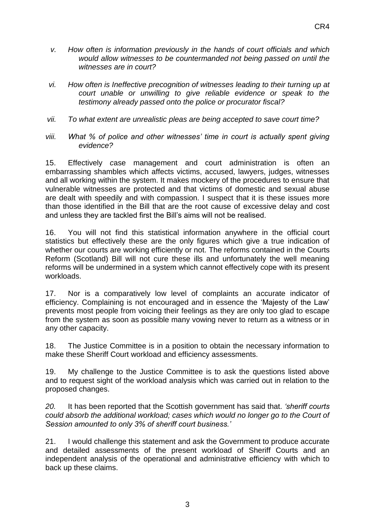- *v. How often is information previously in the hands of court officials and which would allow witnesses to be countermanded not being passed on until the witnesses are in court?*
- *vi. How often is Ineffective precognition of witnesses leading to their turning up at court unable or unwilling to give reliable evidence or speak to the testimony already passed onto the police or procurator fiscal?*
- *vii. To what extent are unrealistic pleas are being accepted to save court time?*
- *viii. What % of police and other witnesses' time in court is actually spent giving evidence?*

15. Effectively *c*ase management and court administration is often an embarrassing shambles which affects victims, accused, lawyers, judges, witnesses and all working within the system. It makes mockery of the procedures to ensure that vulnerable witnesses are protected and that victims of domestic and sexual abuse are dealt with speedily and with compassion. I suspect that it is these issues more than those identified in the Bill that are the root cause of excessive delay and cost and unless they are tackled first the Bill's aims will not be realised.

16. You will not find this statistical information anywhere in the official court statistics but effectively these are the only figures which give a true indication of whether our courts are working efficiently or not. The reforms contained in the Courts Reform (Scotland) Bill will not cure these ills and unfortunately the well meaning reforms will be undermined in a system which cannot effectively cope with its present workloads.

17. Nor is a comparatively low level of complaints an accurate indicator of efficiency. Complaining is not encouraged and in essence the 'Majesty of the Law' prevents most people from voicing their feelings as they are only too glad to escape from the system as soon as possible many vowing never to return as a witness or in any other capacity.

18. The Justice Committee is in a position to obtain the necessary information to make these Sheriff Court workload and efficiency assessments.

19. My challenge to the Justice Committee is to ask the questions listed above and to request sight of the workload analysis which was carried out in relation to the proposed changes.

*20.* It has been reported that the Scottish government has said that. *'sheriff courts could absorb the additional workload; cases which would no longer go to the Court of Session amounted to only 3% of sheriff court business.'*

21. I would challenge this statement and ask the Government to produce accurate and detailed assessments of the present workload of Sheriff Courts and an independent analysis of the operational and administrative efficiency with which to back up these claims.